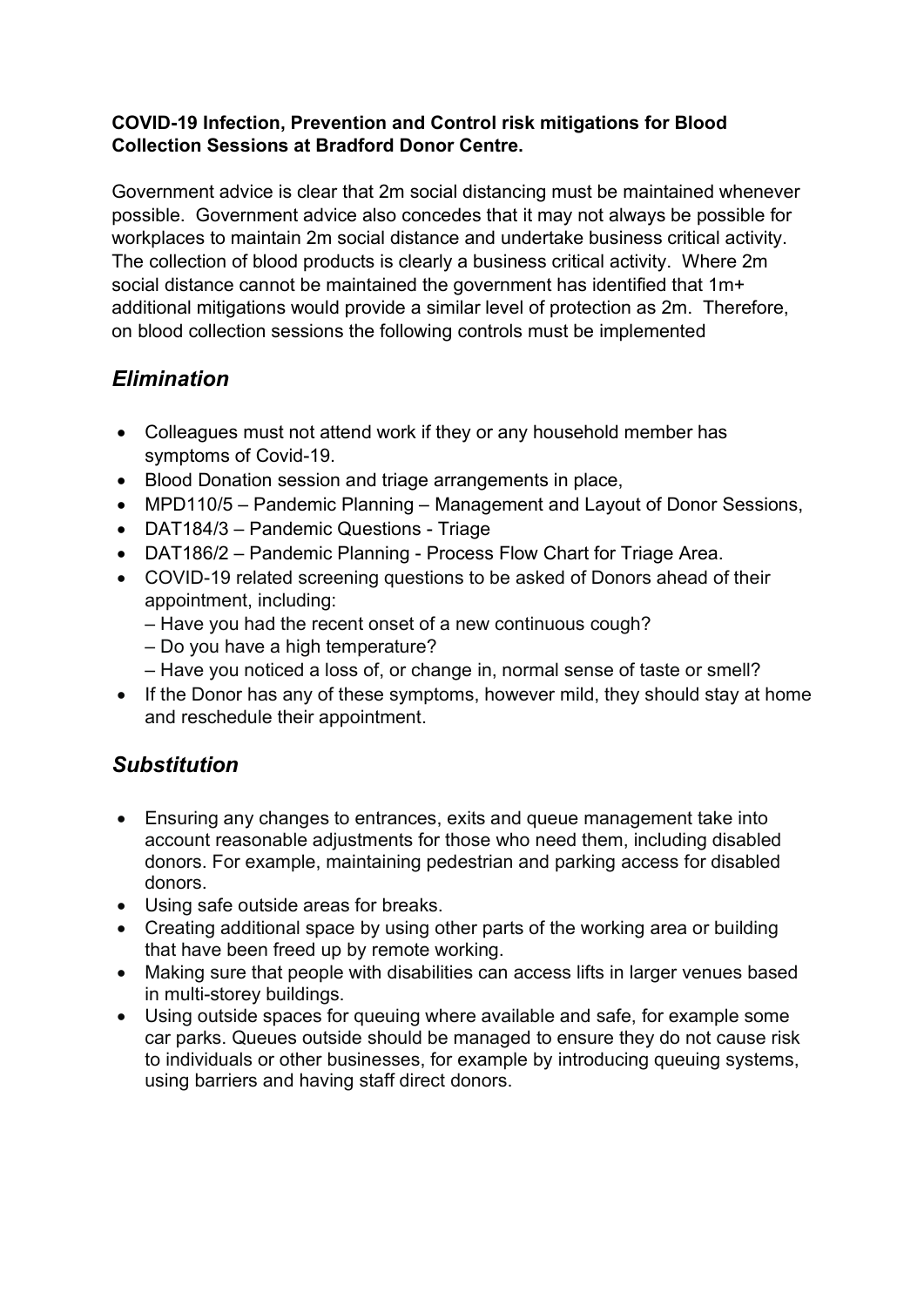#### COVID-19 Infection, Prevention and Control risk mitigations for Blood Collection Sessions at Bradford Donor Centre.

Government advice is clear that 2m social distancing must be maintained whenever possible. Government advice also concedes that it may not always be possible for workplaces to maintain 2m social distance and undertake business critical activity. The collection of blood products is clearly a business critical activity. Where 2m social distance cannot be maintained the government has identified that 1m+ additional mitigations would provide a similar level of protection as 2m. Therefore, on blood collection sessions the following controls must be implemented

## **Elimination**

- Colleagues must not attend work if they or any household member has symptoms of Covid-19.
- Blood Donation session and triage arrangements in place,
- MPD110/5 Pandemic Planning Management and Layout of Donor Sessions,
- DAT184/3 Pandemic Questions Triage
- DAT186/2 Pandemic Planning Process Flow Chart for Triage Area.
- COVID-19 related screening questions to be asked of Donors ahead of their appointment, including:
	- Have you had the recent onset of a new continuous cough?
	- Do you have a high temperature?
	- Have you noticed a loss of, or change in, normal sense of taste or smell?
- If the Donor has any of these symptoms, however mild, they should stay at home and reschedule their appointment.

## **Substitution**

- Ensuring any changes to entrances, exits and queue management take into account reasonable adjustments for those who need them, including disabled donors. For example, maintaining pedestrian and parking access for disabled donors.
- Using safe outside areas for breaks.
- Creating additional space by using other parts of the working area or building that have been freed up by remote working.
- Making sure that people with disabilities can access lifts in larger venues based in multi-storey buildings.
- Using outside spaces for queuing where available and safe, for example some car parks. Queues outside should be managed to ensure they do not cause risk to individuals or other businesses, for example by introducing queuing systems, using barriers and having staff direct donors.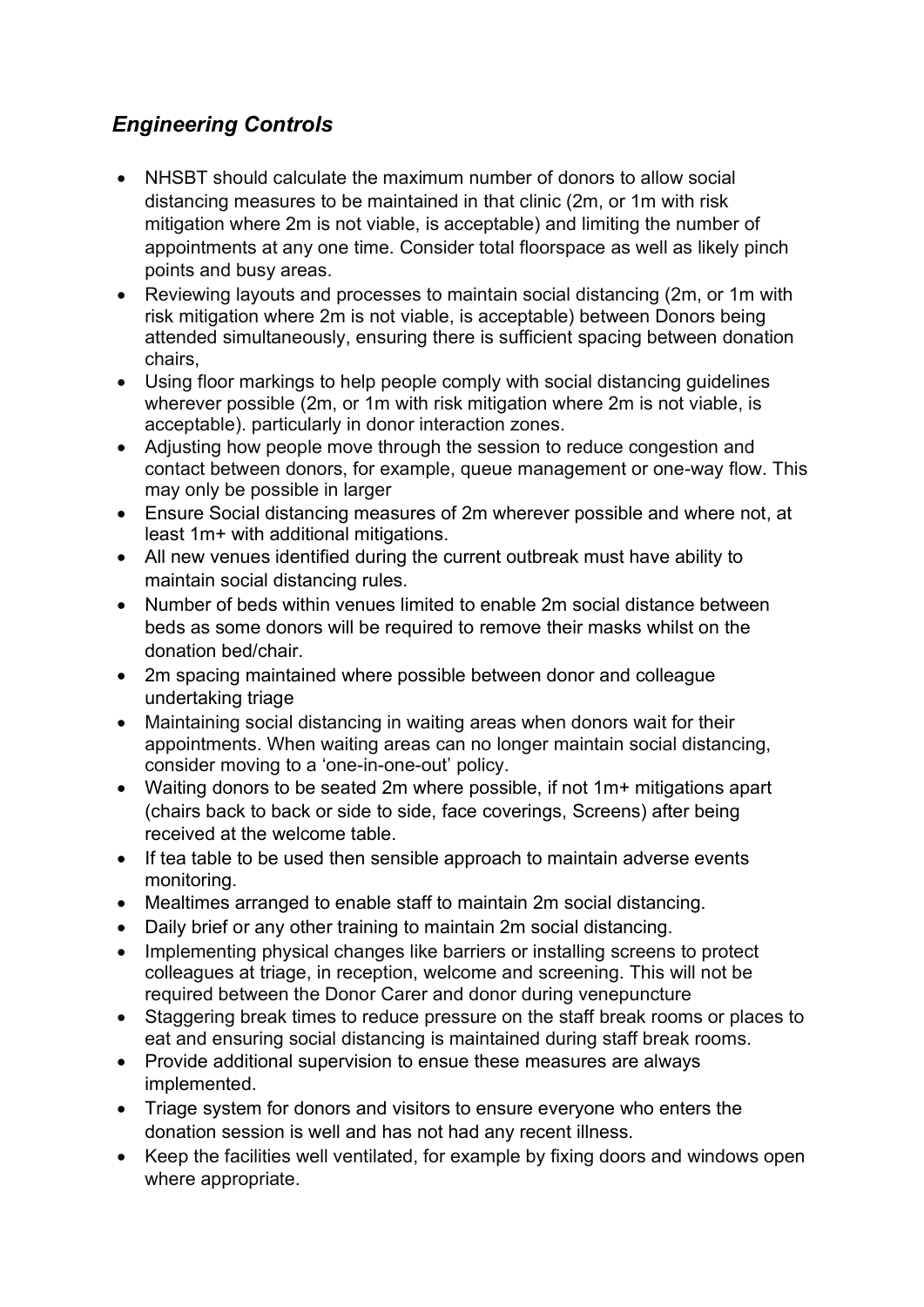# Engineering Controls

- NHSBT should calculate the maximum number of donors to allow social distancing measures to be maintained in that clinic (2m, or 1m with risk mitigation where 2m is not viable, is acceptable) and limiting the number of appointments at any one time. Consider total floorspace as well as likely pinch points and busy areas.
- Reviewing layouts and processes to maintain social distancing (2m, or 1m with risk mitigation where 2m is not viable, is acceptable) between Donors being attended simultaneously, ensuring there is sufficient spacing between donation chairs,
- Using floor markings to help people comply with social distancing guidelines wherever possible (2m, or 1m with risk mitigation where 2m is not viable, is acceptable). particularly in donor interaction zones.
- Adjusting how people move through the session to reduce congestion and contact between donors, for example, queue management or one-way flow. This may only be possible in larger
- Ensure Social distancing measures of 2m wherever possible and where not, at least 1m+ with additional mitigations.
- All new venues identified during the current outbreak must have ability to maintain social distancing rules.
- Number of beds within venues limited to enable 2m social distance between beds as some donors will be required to remove their masks whilst on the donation bed/chair.
- 2m spacing maintained where possible between donor and colleague undertaking triage
- Maintaining social distancing in waiting areas when donors wait for their appointments. When waiting areas can no longer maintain social distancing, consider moving to a 'one-in-one-out' policy.
- Waiting donors to be seated 2m where possible, if not 1m+ mitigations apart (chairs back to back or side to side, face coverings, Screens) after being received at the welcome table.
- If tea table to be used then sensible approach to maintain adverse events monitoring.
- Mealtimes arranged to enable staff to maintain 2m social distancing.
- Daily brief or any other training to maintain 2m social distancing.
- Implementing physical changes like barriers or installing screens to protect colleagues at triage, in reception, welcome and screening. This will not be required between the Donor Carer and donor during venepuncture
- Staggering break times to reduce pressure on the staff break rooms or places to eat and ensuring social distancing is maintained during staff break rooms.
- Provide additional supervision to ensue these measures are always implemented.
- Triage system for donors and visitors to ensure everyone who enters the donation session is well and has not had any recent illness.
- Keep the facilities well ventilated, for example by fixing doors and windows open where appropriate.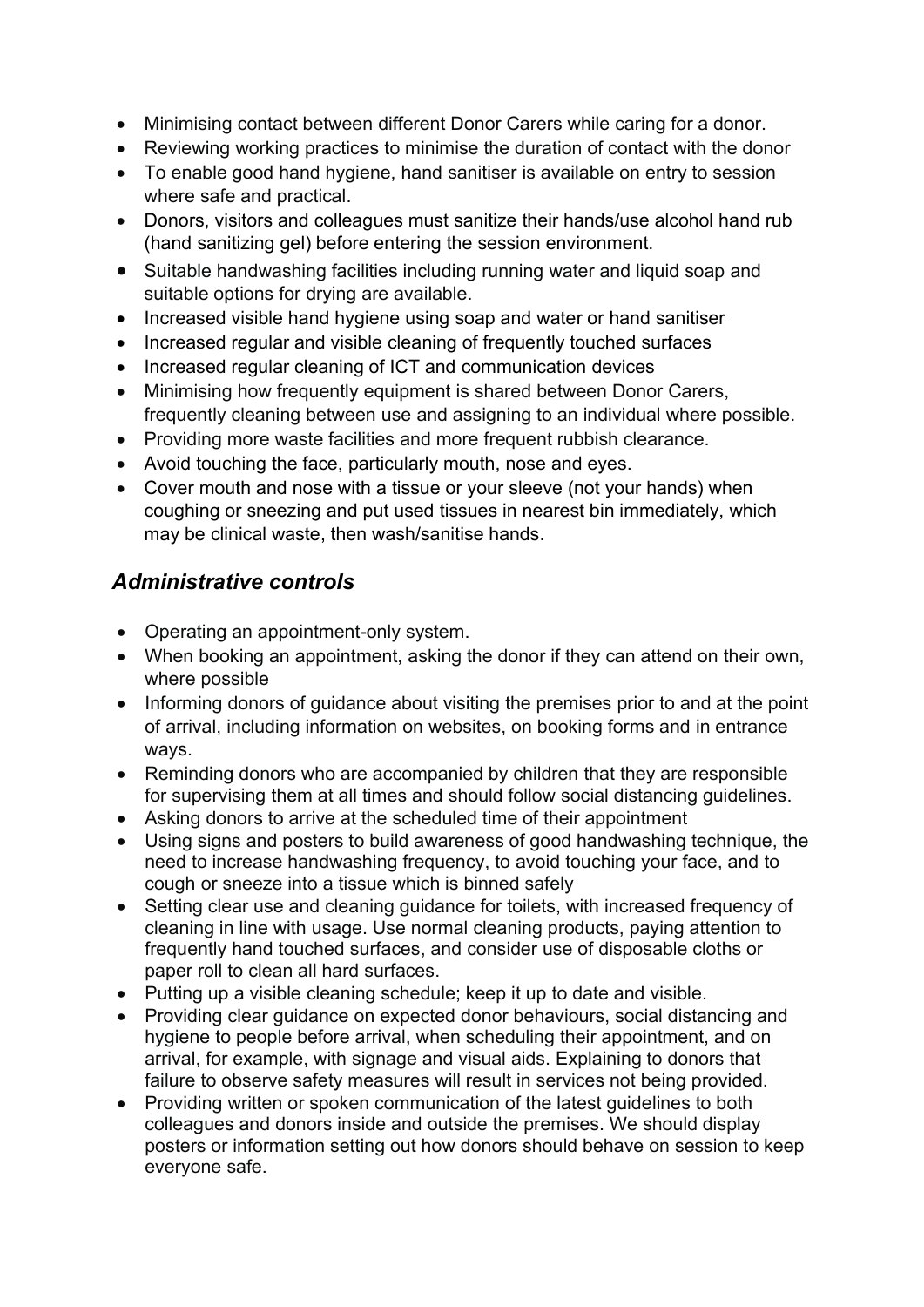- Minimising contact between different Donor Carers while caring for a donor.
- Reviewing working practices to minimise the duration of contact with the donor
- To enable good hand hygiene, hand sanitiser is available on entry to session where safe and practical.
- Donors, visitors and colleagues must sanitize their hands/use alcohol hand rub (hand sanitizing gel) before entering the session environment.
- Suitable handwashing facilities including running water and liquid soap and suitable options for drying are available.
- Increased visible hand hygiene using soap and water or hand sanitiser
- Increased regular and visible cleaning of frequently touched surfaces
- Increased regular cleaning of ICT and communication devices
- Minimising how frequently equipment is shared between Donor Carers, frequently cleaning between use and assigning to an individual where possible.
- Providing more waste facilities and more frequent rubbish clearance.
- Avoid touching the face, particularly mouth, nose and eyes.
- Cover mouth and nose with a tissue or your sleeve (not your hands) when coughing or sneezing and put used tissues in nearest bin immediately, which may be clinical waste, then wash/sanitise hands.

## Administrative controls

- Operating an appointment-only system.
- When booking an appointment, asking the donor if they can attend on their own, where possible
- Informing donors of guidance about visiting the premises prior to and at the point of arrival, including information on websites, on booking forms and in entrance ways.
- Reminding donors who are accompanied by children that they are responsible for supervising them at all times and should follow social distancing guidelines.
- Asking donors to arrive at the scheduled time of their appointment
- Using signs and posters to build awareness of good handwashing technique, the need to increase handwashing frequency, to avoid touching your face, and to cough or sneeze into a tissue which is binned safely
- Setting clear use and cleaning guidance for toilets, with increased frequency of cleaning in line with usage. Use normal cleaning products, paying attention to frequently hand touched surfaces, and consider use of disposable cloths or paper roll to clean all hard surfaces.
- Putting up a visible cleaning schedule; keep it up to date and visible.
- Providing clear guidance on expected donor behaviours, social distancing and hygiene to people before arrival, when scheduling their appointment, and on arrival, for example, with signage and visual aids. Explaining to donors that failure to observe safety measures will result in services not being provided.
- Providing written or spoken communication of the latest guidelines to both colleagues and donors inside and outside the premises. We should display posters or information setting out how donors should behave on session to keep everyone safe.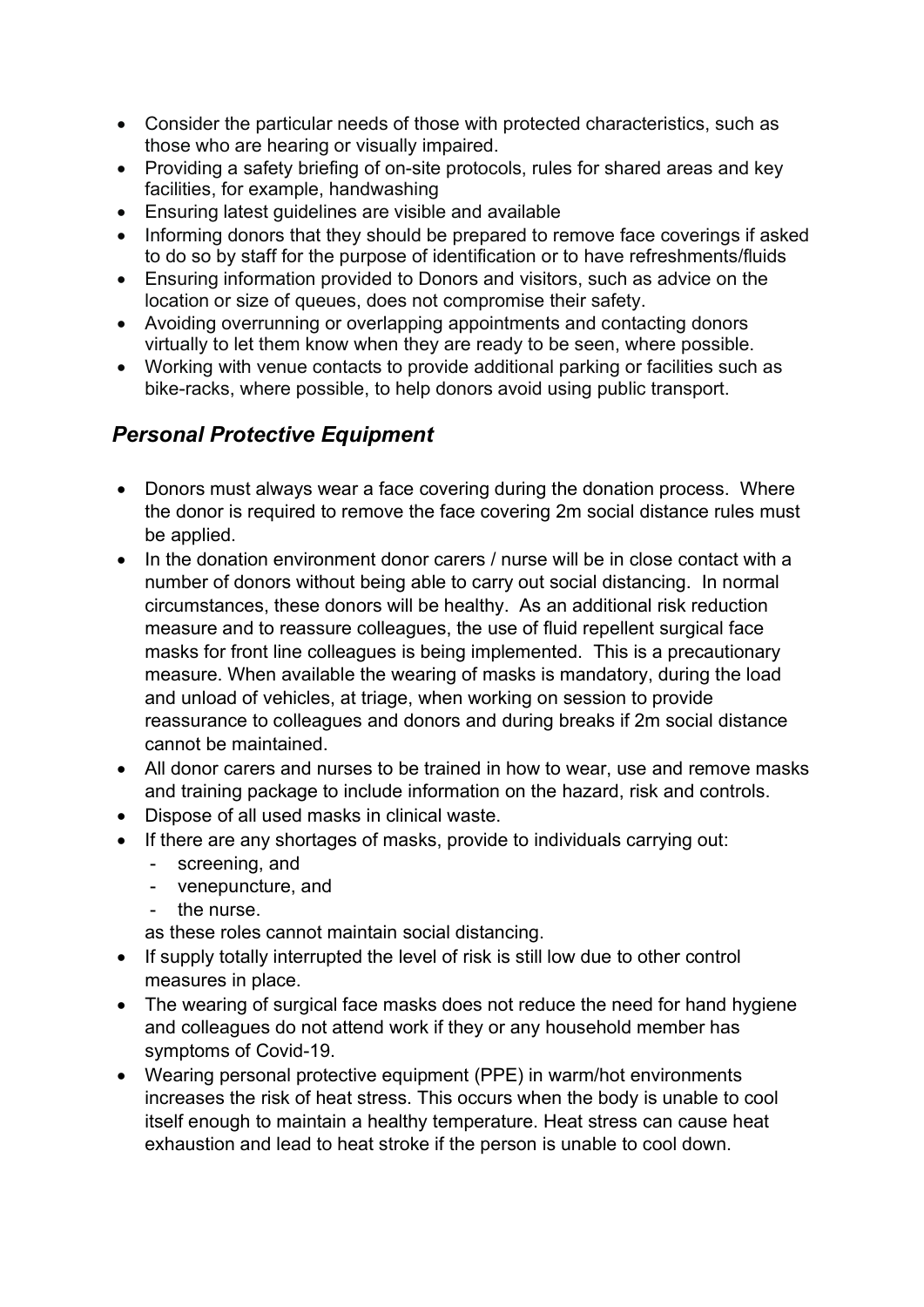- Consider the particular needs of those with protected characteristics, such as those who are hearing or visually impaired.
- Providing a safety briefing of on-site protocols, rules for shared areas and key facilities, for example, handwashing
- Ensuring latest guidelines are visible and available
- Informing donors that they should be prepared to remove face coverings if asked to do so by staff for the purpose of identification or to have refreshments/fluids
- Ensuring information provided to Donors and visitors, such as advice on the location or size of queues, does not compromise their safety.
- Avoiding overrunning or overlapping appointments and contacting donors virtually to let them know when they are ready to be seen, where possible.
- Working with venue contacts to provide additional parking or facilities such as bike-racks, where possible, to help donors avoid using public transport.

## Personal Protective Equipment

- Donors must always wear a face covering during the donation process. Where the donor is required to remove the face covering 2m social distance rules must be applied.
- In the donation environment donor carers / nurse will be in close contact with a number of donors without being able to carry out social distancing. In normal circumstances, these donors will be healthy. As an additional risk reduction measure and to reassure colleagues, the use of fluid repellent surgical face masks for front line colleagues is being implemented. This is a precautionary measure. When available the wearing of masks is mandatory, during the load and unload of vehicles, at triage, when working on session to provide reassurance to colleagues and donors and during breaks if 2m social distance cannot be maintained.
- All donor carers and nurses to be trained in how to wear, use and remove masks and training package to include information on the hazard, risk and controls.
- Dispose of all used masks in clinical waste.
- If there are any shortages of masks, provide to individuals carrying out:
	- screening, and
	- venepuncture, and
	- the nurse.

as these roles cannot maintain social distancing.

- If supply totally interrupted the level of risk is still low due to other control measures in place.
- The wearing of surgical face masks does not reduce the need for hand hygiene and colleagues do not attend work if they or any household member has symptoms of Covid-19.
- Wearing personal protective equipment (PPE) in warm/hot environments increases the risk of heat stress. This occurs when the body is unable to cool itself enough to maintain a healthy temperature. Heat stress can cause heat exhaustion and lead to heat stroke if the person is unable to cool down.